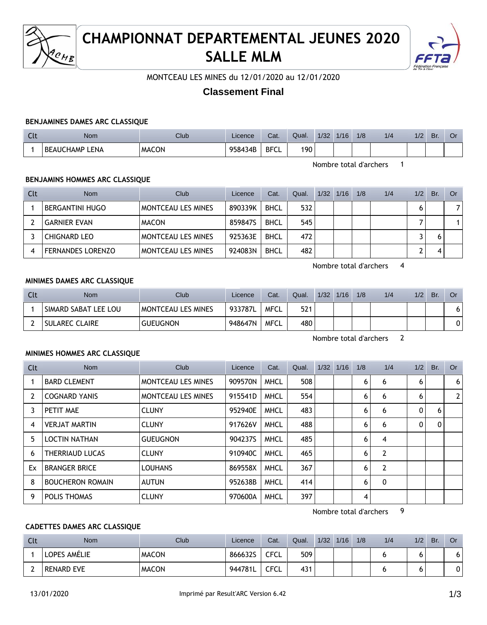

# **CHAMPIONNAT DEPARTEMENTAL JEUNES 2020 SALLE MLM**



MONTCEAU LES MINES du 12/01/2020 au 12/01/2020

# **Classement Final**

#### **BENJAMINES DAMES ARC CLASSIQUE**

| $\sim$<br>$\sim$ | Nom                      | <b>Club</b>  | Licence | Cat.        | Qual. | 1/32 | 1/16 | 1/8 | 1/4 | 1/2 | <b>Br</b> | Ö٢ |
|------------------|--------------------------|--------------|---------|-------------|-------|------|------|-----|-----|-----|-----------|----|
|                  | <b>BEAUCHAMP</b><br>LENA | <b>MACON</b> | 958434B | <b>BFCL</b> | 190   |      |      |     |     |     |           |    |

Nombre total d'archers 1

#### **BENJAMINS HOMMES ARC CLASSIQUE**

| Clt | <b>Nom</b>               | Club                      | Licence | Cat.        | Qual. | 1/32 | 1/16 | 1/8 | 1/4 | 1/2 | Br. | Or |
|-----|--------------------------|---------------------------|---------|-------------|-------|------|------|-----|-----|-----|-----|----|
|     | <b>BERGANTINI HUGO</b>   | <b>MONTCEAU LES MINES</b> | 890339K | <b>BHCL</b> | 532   |      |      |     |     |     |     | 7  |
|     | <b>GARNIER EVAN</b>      | <b>MACON</b>              | 8598475 | <b>BHCL</b> | 545   |      |      |     |     |     |     |    |
|     | <b>CHIGNARD LEO</b>      | <b>MONTCEAU LES MINES</b> | 925363E | <b>BHCL</b> | 472   |      |      |     |     |     |     |    |
|     | <b>FERNANDES LORENZO</b> | <b>MONTCEAU LES MINES</b> | 924083N | <b>BHCL</b> | 482   |      |      |     |     |     |     |    |

Nombre total d'archers 4

#### **MINIMES DAMES ARC CLASSIQUE**

| Clt | <b>Nom</b>           | Club                      | Licence | Cat. | Qual. | 1/32 | 1/16 | 1/8 | 1/4 | 1/2 | Br. | Or |
|-----|----------------------|---------------------------|---------|------|-------|------|------|-----|-----|-----|-----|----|
|     | SIMARD SABAT LEE LOU | <b>MONTCEAU LES MINES</b> | 933787L | MFCL | 521   |      |      |     |     |     |     | 61 |
|     | SULAREC CLAIRE       | <b>GUEUGNON</b>           | 948647N | MFCL | 480   |      |      |     |     |     |     | 0  |

Nombre total d'archers 2

#### **MINIMES HOMMES ARC CLASSIQUE**

| Clt            | Nom                     | <b>Club</b>               | Licence | Cat.        | Qual. | 1/32 | 1/16 | 1/8 | 1/4            | 1/2          | Br.          | Or                    |
|----------------|-------------------------|---------------------------|---------|-------------|-------|------|------|-----|----------------|--------------|--------------|-----------------------|
|                | <b>BARD CLEMENT</b>     | <b>MONTCEAU LES MINES</b> | 909570N | <b>MHCL</b> | 508   |      |      | 6   | 6              | 6            |              | 6                     |
| $\overline{2}$ | <b>COGNARD YANIS</b>    | <b>MONTCEAU LES MINES</b> | 915541D | <b>MHCL</b> | 554   |      |      | 6   | 6              | 6            |              | $\mathbf{2}^{\prime}$ |
| 3              | PETIT MAE               | <b>CLUNY</b>              | 952940E | <b>MHCL</b> | 483   |      |      | 6   | 6              | $\mathbf{0}$ | 6            |                       |
| 4              | <b>VERJAT MARTIN</b>    | <b>CLUNY</b>              | 917626V | <b>MHCL</b> | 488   |      |      | 6   | 6              | 0            | $\mathbf{0}$ |                       |
| 5              | <b>LOCTIN NATHAN</b>    | <b>GUEUGNON</b>           | 904237S | <b>MHCL</b> | 485   |      |      | 6   | 4              |              |              |                       |
| 6              | THERRIAUD LUCAS         | <b>CLUNY</b>              | 910940C | <b>MHCL</b> | 465   |      |      | 6   | $\overline{2}$ |              |              |                       |
| Ex             | <b>BRANGER BRICE</b>    | <b>LOUHANS</b>            | 869558X | <b>MHCL</b> | 367   |      |      | 6   | $\overline{2}$ |              |              |                       |
| 8              | <b>BOUCHERON ROMAIN</b> | <b>AUTUN</b>              | 952638B | <b>MHCL</b> | 414   |      |      | 6   | 0              |              |              |                       |
| 9              | POLIS THOMAS            | <b>CLUNY</b>              | 970600A | <b>MHCL</b> | 397   |      |      | 4   |                |              |              |                       |

Nombre total d'archers 9

#### **CADETTES DAMES ARC CLASSIQUE**

| Clt | <b>Nom</b>        | Club         | Licence | Cat.        | Qual. | 1/32 | 1/16 | 1/8 | 1/4 | 1/2 | Br. | Or |
|-----|-------------------|--------------|---------|-------------|-------|------|------|-----|-----|-----|-----|----|
|     | LOPES AMELIE      | <b>MACON</b> | 8666325 | <b>CFCL</b> | 509   |      |      |     |     |     |     | o  |
| -   | <b>RENARD EVE</b> | <b>MACON</b> | 944781L | <b>CFCL</b> | 431   |      |      |     |     |     |     | 0  |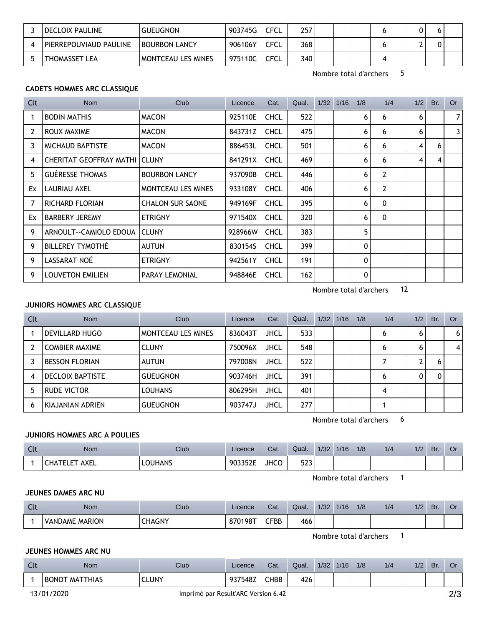| DECLOIX PAULINE        | <b>GUEUGNON</b>      | 903745G | CFCL        | 257 |  |  |  |
|------------------------|----------------------|---------|-------------|-----|--|--|--|
| PIERREPOUVIAUD PAULINE | <b>BOURBON LANCY</b> | 906106Y | CFCL        | 368 |  |  |  |
| THOMASSET LEA          | MONTCEAU LES MINES   | 975110C | <b>CFCL</b> | 340 |  |  |  |

Nombre total d'archers 5

# **CADETS HOMMES ARC CLASSIQUE**

| Clt            | Nom                                  | Club                      | Licence | Cat.        | Qual. | $1/32$ $1/16$ | 1/8          | 1/4 | 1/2 | Br. | <b>Or</b> |
|----------------|--------------------------------------|---------------------------|---------|-------------|-------|---------------|--------------|-----|-----|-----|-----------|
| 1              | <b>BODIN MATHIS</b>                  | <b>MACON</b>              | 925110E | <b>CHCL</b> | 522   |               | 6            | 6   | 6   |     | 7         |
| $\overline{2}$ | ROUX MAXIME                          | <b>MACON</b>              | 843731Z | <b>CHCL</b> | 475   |               | 6            | 6   | 6   |     | 3         |
| 3              | <b>MICHAUD BAPTISTE</b>              | <b>MACON</b>              | 886453L | <b>CHCL</b> | 501   |               | 6            | 6   | 4   | 6   |           |
| 4              | <b>CHERITAT GEOFFRAY MATHI CLUNY</b> |                           | 841291X | <b>CHCL</b> | 469   |               | 6            | 6   | 4   | 4   |           |
| 5              | <b>GUÉRESSE THOMAS</b>               | <b>BOURBON LANCY</b>      | 937090B | <b>CHCL</b> | 446   |               | 6            | 2   |     |     |           |
| Ex             | LAURIAU AXEL                         | <b>MONTCEAU LES MINES</b> | 933108Y | <b>CHCL</b> | 406   |               | 6            | 2   |     |     |           |
| 7              | RICHARD FLORIAN                      | <b>CHALON SUR SAONE</b>   | 949169F | <b>CHCL</b> | 395   |               | 6            | 0   |     |     |           |
| Ex             | <b>BARBERY JEREMY</b>                | <b>ETRIGNY</b>            | 971540X | <b>CHCL</b> | 320   |               | 6            | 0   |     |     |           |
| 9              | ARNOULT--CAMIOLO EDOUA               | <b>CLUNY</b>              | 928966W | <b>CHCL</b> | 383   |               | 5            |     |     |     |           |
| 9              | BILLEREY TYMOTHÉ                     | <b>AUTUN</b>              | 830154S | <b>CHCL</b> | 399   |               | $\mathbf{0}$ |     |     |     |           |
| 9              | LASSARAT NOÉ                         | <b>ETRIGNY</b>            | 942561Y | <b>CHCL</b> | 191   |               | $\mathbf{0}$ |     |     |     |           |
| 9              | <b>LOUVETON EMILIEN</b>              | <b>PARAY LEMONIAL</b>     | 948846E | <b>CHCL</b> | 162   |               | $\mathbf 0$  |     |     |     |           |

Nombre total d'archers 12

# **JUNIORS HOMMES ARC CLASSIQUE**

| Clt | <b>Nom</b>              | Club                      | Licence | Cat.        | Qual. | 1/32 | 1/16 | 1/8 | 1/4 | 1/2 | Br. | Or             |
|-----|-------------------------|---------------------------|---------|-------------|-------|------|------|-----|-----|-----|-----|----------------|
|     | DEVILLARD HUGO          | <b>MONTCEAU LES MINES</b> | 836043T | <b>JHCL</b> | 533   |      |      |     | 6   | 6   |     | 6 <sup>1</sup> |
|     | <b>COMBIER MAXIME</b>   | <b>CLUNY</b>              | 750096X | <b>JHCL</b> | 548   |      |      |     | 6   | 6   |     | 4              |
|     | <b>BESSON FLORIAN</b>   | AUTUN                     | 797008N | <b>JHCL</b> | 522   |      |      |     |     | ົ   |     |                |
| 4   | <b>DECLOIX BAPTISTE</b> | <b>GUEUGNON</b>           | 903746H | <b>JHCL</b> | 391   |      |      |     | 6   | 0   | 0   |                |
| 5   | RUDE VICTOR             | <b>LOUHANS</b>            | 806295H | <b>JHCL</b> | 401   |      |      |     | 4   |     |     |                |
| 6   | KIAJANIAN ADRIEN        | <b>GUEUGNON</b>           | 903747J | <b>JHCL</b> | 277   |      |      |     |     |     |     |                |

Nombre total d'archers 6

# **JUNIORS HOMMES ARC A POULIES**

| $\sim$<br><b>ULL</b> | <b>Nom</b>            | Club           | Licence        | Cat.        | Qual.            | 1/32 | 1/16 | 1/8 | 1/4 | 1/2 | Br. | Οı |
|----------------------|-----------------------|----------------|----------------|-------------|------------------|------|------|-----|-----|-----|-----|----|
|                      | AXEL<br>CHA'<br>'ELET | <b>LOUHANS</b> | <b>YU335ZE</b> | <b>JHCO</b> | につつ<br>∽.<br>دعد |      |      |     |     |     |     |    |

Nombre total d'archers 1

### **JEUNES DAMES ARC NU**

| <u>in City</u> | <b>Nom</b>     | Club          | Licence | Cat.         | Qual. | 1/32 | 1/16 | 1/8 | 1/4 | 1/2 | Br. | Or |
|----------------|----------------|---------------|---------|--------------|-------|------|------|-----|-----|-----|-----|----|
|                | VANDAME MARION | <b>CHAGNY</b> | 870198T | ${\sf CFBB}$ | 466   |      |      |     |     |     |     |    |

Nombre total d'archers 1

## **JEUNES HOMMES ARC NU**

| Clt | <b>Nom</b>                      | Club  | Licence | Cat.        | Qual. | 1/32 | 1/16 | 1/8 | 1/4 | 1/2 | Br. | Or |
|-----|---------------------------------|-------|---------|-------------|-------|------|------|-----|-----|-----|-----|----|
|     | <b>BONOT</b><br><b>MATTHIAS</b> | CLUNY | 937548Z | <b>CHBB</b> | 426   |      |      |     |     |     |     |    |